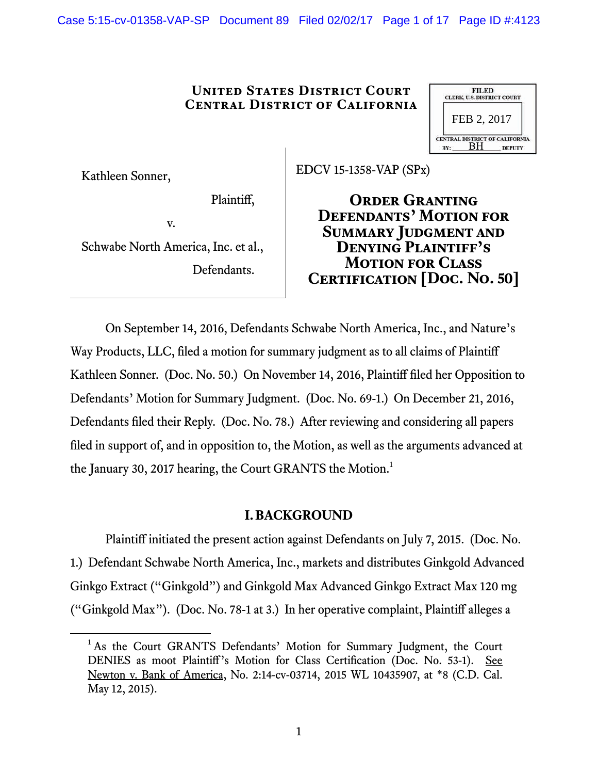Case 5:15-cv-01358-VAP-SP Document 89 Filed 02/02/17 Page 1 of 17 Page ID #:4123

## **United States District Court Central District of California**

|     | <b>FILED</b><br><b>CLERK, U.S. DISTRICT COURT</b> |                                                        |
|-----|---------------------------------------------------|--------------------------------------------------------|
|     | FEB 2, 2017                                       |                                                        |
| RV- | RН                                                | <b>CENTRAL DISTRICT OF CALIFORNIA</b><br><b>DEPUTY</b> |

Kathleen Sonner,

EDCV 15-1358-VAP (SPx)

Plaintiff,

v.

Schwabe North America, Inc. et al., Defendants.

**Order Granting Defendants' Motion for Summary Judgment and Denying Plaintiff's Motion for Class Certification[Doc. No. 50]**

On September 14, 2016, Defendants Schwabe North America, Inc., and Nature's Way Products, LLC, filed a motion for summary judgment as to all claims of Plaintiff Kathleen Sonner. (Doc. No. 50.) On November 14, 2016, Plaintiff filed her Opposition to Defendants' Motion for Summary Judgment. (Doc. No. 69-1.) On December 21, 2016, Defendants filed their Reply. (Doc. No. 78.) After reviewing and considering all papers filed in support of, and in opposition to, the Motion, as well as the arguments advanced at the January 30, 2017 hearing, the Court GRANTS the Motion.<sup>1</sup>

# **I.BACKGROUND**

Plaintiff initiated the present action against Defendants on July 7, 2015. (Doc. No. 1.) Defendant Schwabe North America, Inc., markets and distributes Ginkgold Advanced Ginkgo Extract ("Ginkgold") and Ginkgold Max Advanced Ginkgo Extract Max 120 mg ("Ginkgold Max"). (Doc. No. 78-1 at 3.) In her operative complaint, Plaintiff alleges a

 $\overline{\phantom{0}}$ <sup>1</sup> As the Court GRANTS Defendants' Motion for Summary Judgment, the Court DENIES as moot Plaintiff's Motion for Class Certification (Doc. No. 53-1). See Newton v. Bank of America, No. 2:14-cv-03714, 2015 WL 10435907, at \*8 (C.D. Cal. May 12, 2015).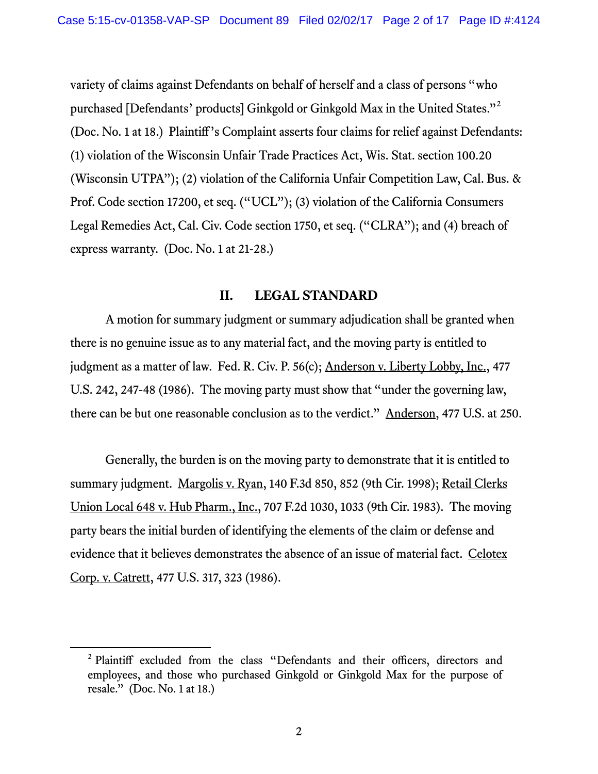variety of claims against Defendants on behalf of herself and a class of persons "who purchased [Defendants' products] Ginkgold or Ginkgold Max in the United States."<sup>2</sup> (Doc. No. 1 at 18.) Plaintiff's Complaint asserts four claims for relief against Defendants: (1) violation of the Wisconsin Unfair Trade Practices Act, Wis. Stat. section 100.20 (Wisconsin UTPA"); (2) violation of the California Unfair Competition Law, Cal. Bus. & Prof. Code section 17200, et seq. ("UCL"); (3) violation of the California Consumers Legal Remedies Act, Cal. Civ. Code section 1750, et seq. ("CLRA"); and (4) breach of express warranty. (Doc. No. 1 at 21-28.)

## **II. LEGAL STANDARD**

A motion for summary judgment or summary adjudication shall be granted when there is no genuine issue as to any material fact, and the moving party is entitled to judgment as a matter of law. Fed. R. Civ. P. 56(c); Anderson v. Liberty Lobby, Inc., 477 U.S. 242, 247-48 (1986). The moving party must show that "under the governing law, there can be but one reasonable conclusion as to the verdict." Anderson, 477 U.S. at 250.

Generally, the burden is on the moving party to demonstrate that it is entitled to summary judgment. Margolis v. Ryan, 140 F.3d 850, 852 (9th Cir. 1998); Retail Clerks Union Local 648 v. Hub Pharm., Inc., 707 F.2d 1030, 1033 (9th Cir. 1983). The moving party bears the initial burden of identifying the elements of the claim or defense and evidence that it believes demonstrates the absence of an issue of material fact. Celotex Corp. v. Catrett, 477 U.S. 317, 323 (1986).

 $\frac{1}{2}$ <sup>2</sup> Plaintiff excluded from the class "Defendants and their officers, directors and employees, and those who purchased Ginkgold or Ginkgold Max for the purpose of resale." (Doc. No. 1 at 18.)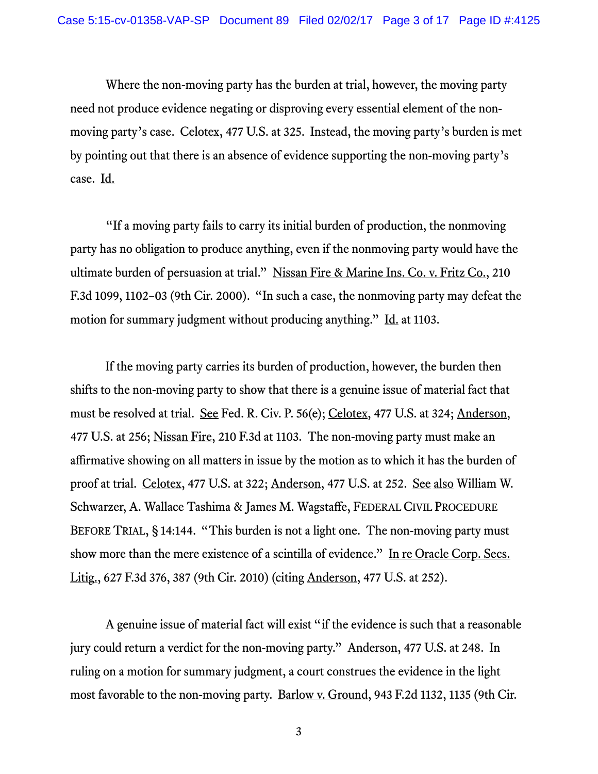Where the non-moving party has the burden at trial, however, the moving party need not produce evidence negating or disproving every essential element of the nonmoving party's case. Celotex, 477 U.S. at 325. Instead, the moving party's burden is met by pointing out that there is an absence of evidence supporting the non-moving party's case. Id.

"If a moving party fails to carry its initial burden of production, the nonmoving party has no obligation to produce anything, even if the nonmoving party would have the ultimate burden of persuasion at trial." Nissan Fire & Marine Ins. Co. v. Fritz Co., 210 F.3d 1099, 1102–03 (9th Cir. 2000). "In such a case, the nonmoving party may defeat the motion for summary judgment without producing anything." Id. at 1103.

If the moving party carries its burden of production, however, the burden then shifts to the non-moving party to show that there is a genuine issue of material fact that must be resolved at trial. See Fed. R. Civ. P. 56(e); Celotex, 477 U.S. at 324; Anderson, 477 U.S. at 256; Nissan Fire, 210 F.3d at 1103. The non-moving party must make an affirmative showing on all matters in issue by the motion as to which it has the burden of proof at trial. Celotex, 477 U.S. at 322; Anderson, 477 U.S. at 252. See also William W. Schwarzer, A. Wallace Tashima & James M. Wagstaffe, FEDERAL CIVIL PROCEDURE BEFORE TRIAL, § 14:144. "This burden is not a light one. The non-moving party must show more than the mere existence of a scintilla of evidence." In re Oracle Corp. Secs. Litig., 627 F.3d 376, 387 (9th Cir. 2010) (citing Anderson, 477 U.S. at 252).

A genuine issue of material fact will exist "if the evidence is such that a reasonable jury could return a verdict for the non-moving party." Anderson, 477 U.S. at 248. In ruling on a motion for summary judgment, a court construes the evidence in the light most favorable to the non-moving party. Barlow v. Ground, 943 F.2d 1132, 1135 (9th Cir.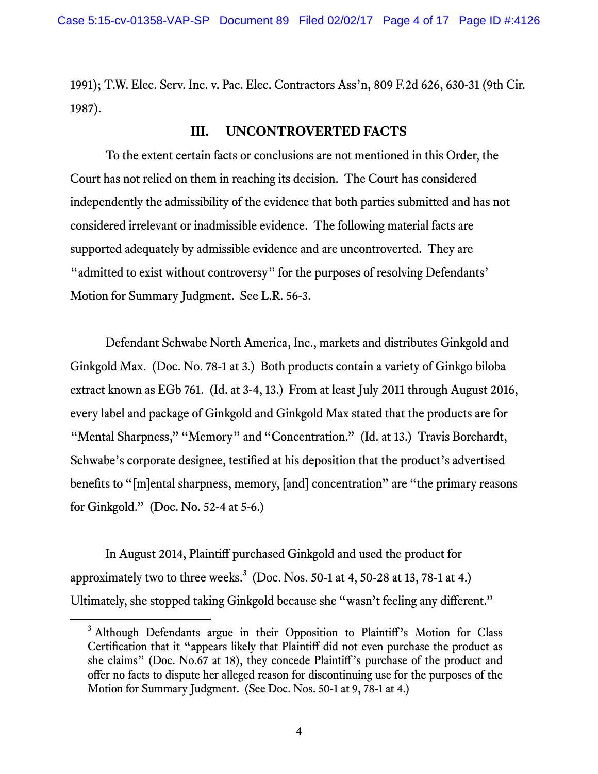1991); T.W. Elec. Serv. Inc. v. Pac. Elec. Contractors Ass'n, 809 F.2d 626, 630-31 (9th Cir. 1987).

## **III. UNCONTROVERTED FACTS**

To the extent certain facts or conclusions are not mentioned in this Order, the Court has not relied on them in reaching its decision. The Court has considered independently the admissibility of the evidence that both parties submitted and has not considered irrelevant or inadmissible evidence. The following material facts are supported adequately by admissible evidence and are uncontroverted. They are "admitted to exist without controversy" for the purposes of resolving Defendants' Motion for Summary Judgment. See L.R. 56-3.

Defendant Schwabe North America, Inc., markets and distributes Ginkgold and Ginkgold Max. (Doc. No. 78-1 at 3.) Both products contain a variety of Ginkgo biloba extract known as EGb 761. ( $\underline{Id}$  at 3-4, 13.) From at least July 2011 through August 2016, every label and package of Ginkgold and Ginkgold Max stated that the products are for "Mental Sharpness," "Memory" and "Concentration." (Id. at 13.) Travis Borchardt, Schwabe's corporate designee, testified at his deposition that the product's advertised benefits to "[m]ental sharpness, memory, [and] concentration" are "the primary reasons for Ginkgold." (Doc. No. 52-4 at 5-6.)

In August 2014, Plaintiff purchased Ginkgold and used the product for approximately two to three weeks. $3 \text{ (Doc. Nos. 50-1 at 4, 50-28 at 13, 78-1 at 4.)}$ Ultimately, she stopped taking Ginkgold because she "wasn't feeling any different."

<sup>&</sup>lt;sup>3</sup> Although Defendants argue in their Opposition to Plaintiff's Motion for Class Certification that it "appears likely that Plaintiff did not even purchase the product as she claims" (Doc. No.67 at 18), they concede Plaintiff's purchase of the product and offer no facts to dispute her alleged reason for discontinuing use for the purposes of the Motion for Summary Judgment. (See Doc. Nos. 50-1 at 9, 78-1 at 4.)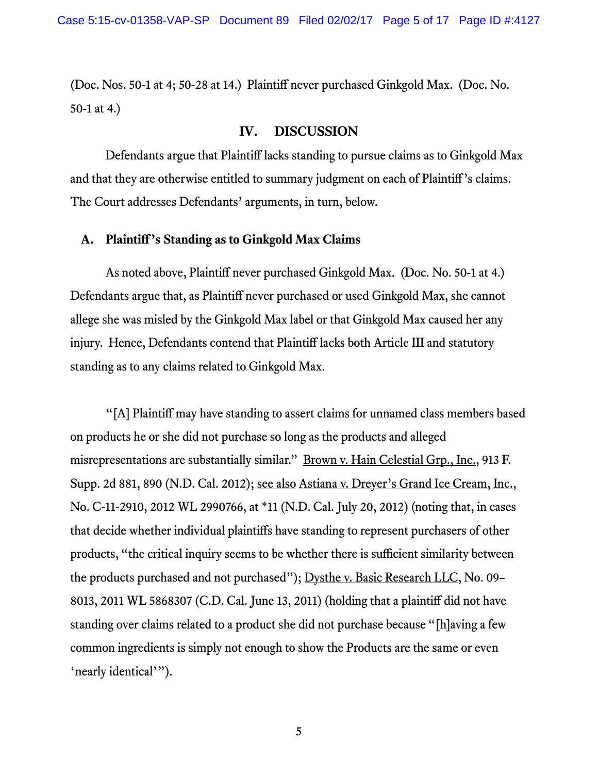(Doc. Nos. 50-1 at 4; 50-28 at 14.) Plaintiff never purchased Ginkgold Max. (Doc. No. 50-1 at 4.)

## **IV. DISCUSSION**

Defendants argue that Plaintiff lacks standing to pursue claims as to Ginkgold Max and that they are otherwise entitled to summary judgment on each of Plaintiff's claims. The Court addresses Defendants' arguments, in turn, below.

## **A. Plaintiff's Standing as to Ginkgold Max Claims**

As noted above, Plaintiff never purchased Ginkgold Max. (Doc. No. 50-1 at 4.) Defendants argue that, as Plaintiff never purchased or used Ginkgold Max, she cannot allege she was misled by the Ginkgold Max label or that Ginkgold Max caused her any injury. Hence, Defendants contend that Plaintiff lacks both Article III and statutory standing as to any claims related to Ginkgold Max.

"[A] Plaintiff may have standing to assert claims for unnamed class members based on products he or she did not purchase so long as the products and alleged misrepresentations are substantially similar." <u>Brown v. Hain Celestial Grp., Inc.</u>, 913 F. Supp. 2d 881, 890 (N.D. Cal. 2012); see also Astiana v. Dreyer's Grand Ice Cream, Inc., No. C-11-2910, 2012 WL 2990766, at \*11 (N.D. Cal. July 20, 2012) (noting that, in cases that decide whether individual plaintiffs have standing to represent purchasers of other products, "the critical inquiry seems to be whether there is sufficient similarity between the products purchased and not purchased"); Dysthe v. Basic Research LLC, No. 09– 8013, 2011 WL 5868307 (C.D. Cal. June 13, 2011) (holding that a plaintiff did not have standing over claims related to a product she did not purchase because "[h]aving a few common ingredients is simply not enough to show the Products are the same or even 'nearly identical'").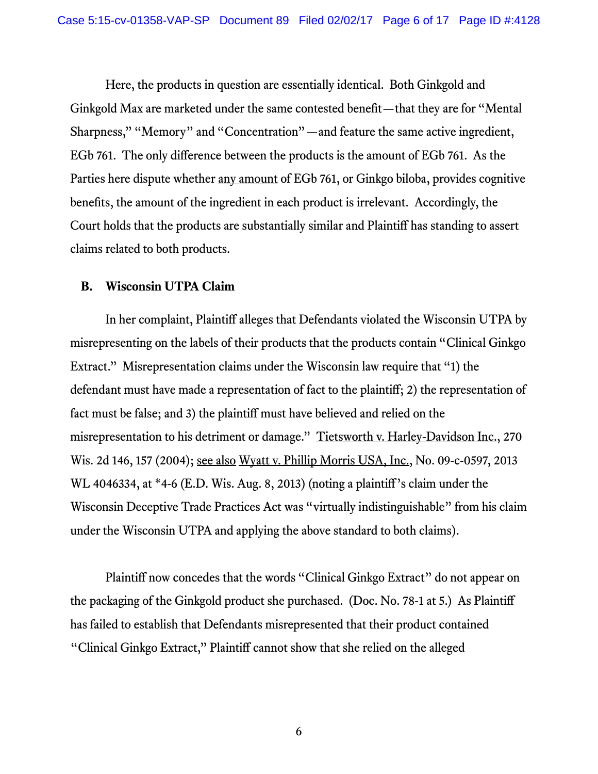Here, the products in question are essentially identical. Both Ginkgold and Ginkgold Max are marketed under the same contested benefit—that they are for "Mental Sharpness," "Memory" and "Concentration"—and feature the same active ingredient, EGb 761. The only difference between the products is the amount of EGb 761. As the Parties here dispute whether <u>any amount</u> of EGb 761, or Ginkgo biloba, provides cognitive benefits, the amount of the ingredient in each product is irrelevant. Accordingly, the Court holds that the products are substantially similar and Plaintiff has standing to assert claims related to both products.

#### **B. Wisconsin UTPA Claim**

 In her complaint, Plaintiff alleges that Defendants violated the Wisconsin UTPA by misrepresenting on the labels of their products that the products contain "Clinical Ginkgo Extract." Misrepresentation claims under the Wisconsin law require that "1) the defendant must have made a representation of fact to the plaintiff; 2) the representation of fact must be false; and 3) the plaintiff must have believed and relied on the misrepresentation to his detriment or damage." Tietsworth v. Harley-Davidson Inc., 270 Wis. 2d 146, 157 (2004); see also Wyatt v. Phillip Morris USA, Inc., No. 09-c-0597, 2013 WL 4046334, at \*4-6 (E.D. Wis. Aug. 8, 2013) (noting a plaintiff's claim under the Wisconsin Deceptive Trade Practices Act was "virtually indistinguishable" from his claim under the Wisconsin UTPA and applying the above standard to both claims).

 Plaintiff now concedes that the words "Clinical Ginkgo Extract" do not appear on the packaging of the Ginkgold product she purchased. (Doc. No. 78-1 at 5.) As Plaintiff has failed to establish that Defendants misrepresented that their product contained "Clinical Ginkgo Extract," Plaintiff cannot show that she relied on the alleged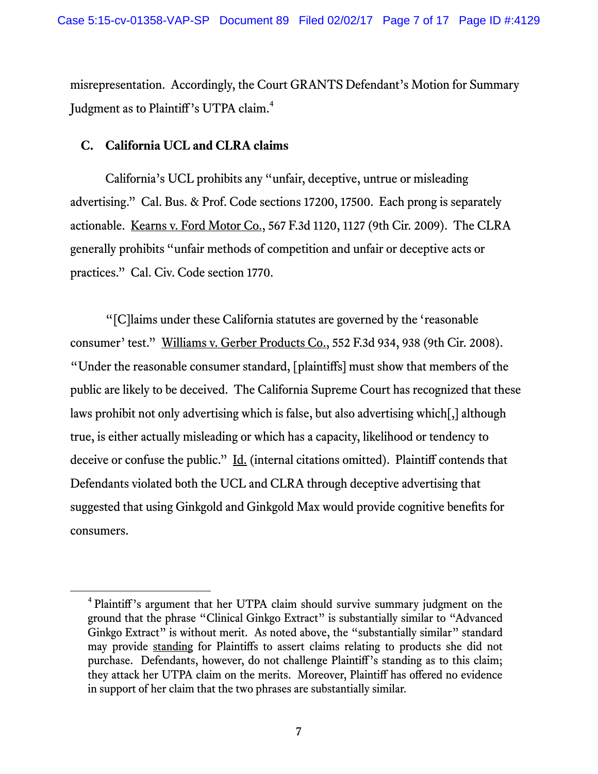misrepresentation. Accordingly, the Court GRANTS Defendant's Motion for Summary Judgment as to Plaintiff's UTPA claim.<sup>4</sup>

## **C. California UCL and CLRA claims**

California's UCL prohibits any "unfair, deceptive, untrue or misleading advertising." Cal. Bus. & Prof. Code sections 17200, 17500. Each prong is separately actionable. Kearns v. Ford Motor Co., 567 F.3d 1120, 1127 (9th Cir. 2009). The CLRA generally prohibits "unfair methods of competition and unfair or deceptive acts or practices." Cal. Civ. Code section 1770.

"[C]laims under these California statutes are governed by the 'reasonable consumer' test." Williams v. Gerber Products Co., 552 F.3d 934, 938 (9th Cir. 2008). "Under the reasonable consumer standard, [plaintiffs] must show that members of the public are likely to be deceived. The California Supreme Court has recognized that these laws prohibit not only advertising which is false, but also advertising which[,] although true, is either actually misleading or which has a capacity, likelihood or tendency to deceive or confuse the public." Id. (internal citations omitted). Plaintiff contends that Defendants violated both the UCL and CLRA through deceptive advertising that suggested that using Ginkgold and Ginkgold Max would provide cognitive benefits for consumers.

 $\overline{4}$ <sup>4</sup> Plaintiff's argument that her UTPA claim should survive summary judgment on the ground that the phrase "Clinical Ginkgo Extract" is substantially similar to "Advanced Ginkgo Extract" is without merit. As noted above, the "substantially similar" standard may provide standing for Plaintiffs to assert claims relating to products she did not purchase. Defendants, however, do not challenge Plaintiff's standing as to this claim; they attack her UTPA claim on the merits. Moreover, Plaintiff has offered no evidence in support of her claim that the two phrases are substantially similar.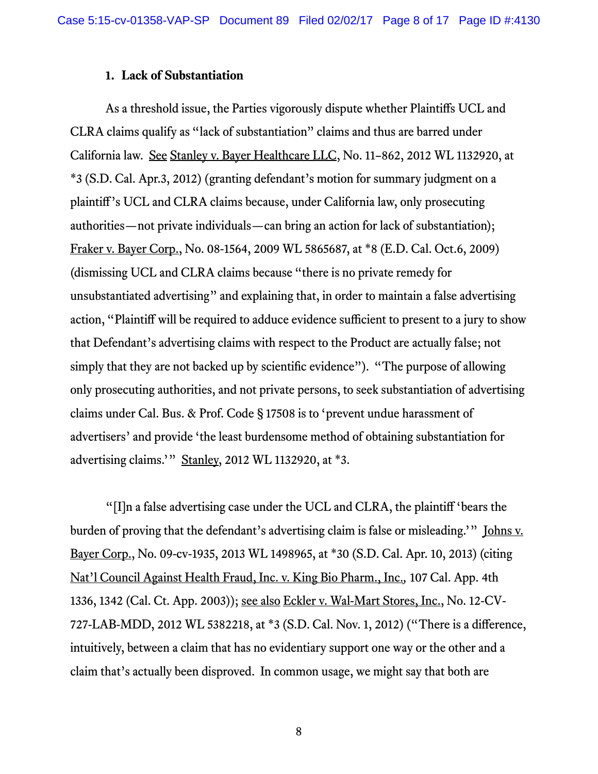#### **1. Lack of Substantiation**

As a threshold issue, the Parties vigorously dispute whether Plaintiffs UCL and CLRA claims qualify as "lack of substantiation" claims and thus are barred under California law. See Stanley v. Bayer Healthcare LLC, No. 11–862, 2012 WL 1132920, at \*3 (S.D. Cal. Apr.3, 2012) (granting defendant's motion for summary judgment on a plaintiff's UCL and CLRA claims because, under California law, only prosecuting authorities—not private individuals—can bring an action for lack of substantiation); Fraker v. Bayer Corp., No. 08-1564, 2009 WL 5865687, at \*8 (E.D. Cal. Oct.6, 2009) (dismissing UCL and CLRA claims because "there is no private remedy for unsubstantiated advertising" and explaining that, in order to maintain a false advertising action, "Plaintiff will be required to adduce evidence sufficient to present to a jury to show that Defendant's advertising claims with respect to the Product are actually false; not simply that they are not backed up by scientific evidence"). "The purpose of allowing only prosecuting authorities, and not private persons, to seek substantiation of advertising claims under Cal. Bus. & Prof. Code § 17508 is to 'prevent undue harassment of advertisers' and provide 'the least burdensome method of obtaining substantiation for advertising claims.'" Stanley, 2012 WL 1132920, at \*3.

"[I]n a false advertising case under the UCL and CLRA, the plaintiff 'bears the burden of proving that the defendant's advertising claim is false or misleading.'" <u>Johns v.</u> Bayer Corp., No. 09-cv-1935, 2013 WL 1498965, at \*30 (S.D. Cal. Apr. 10, 2013) (citing Nat'l Council Against Health Fraud, Inc. v. King Bio Pharm., Inc.*,* 107 Cal. App. 4th 1336, 1342 (Cal. Ct. App. 2003)); see also Eckler v. Wal-Mart Stores, Inc., No. 12-CV-727-LAB-MDD, 2012 WL 5382218, at \*3 (S.D. Cal. Nov. 1, 2012) ("There is a difference, intuitively, between a claim that has no evidentiary support one way or the other and a claim that's actually been disproved. In common usage, we might say that both are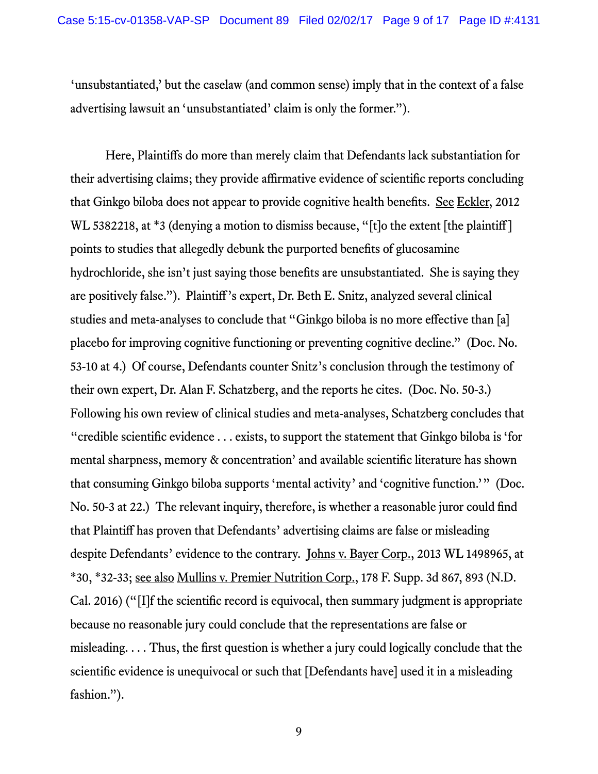'unsubstantiated,' but the caselaw (and common sense) imply that in the context of a false advertising lawsuit an 'unsubstantiated' claim is only the former.").

Here, Plaintiffs do more than merely claim that Defendants lack substantiation for their advertising claims; they provide affirmative evidence of scientific reports concluding that Ginkgo biloba does not appear to provide cognitive health benefits. See Eckler, 2012 WL 5382218, at \*3 (denying a motion to dismiss because, "[t]o the extent [the plaintiff] points to studies that allegedly debunk the purported benefits of glucosamine hydrochloride, she isn't just saying those benefits are unsubstantiated. She is saying they are positively false."). Plaintiff's expert, Dr. Beth E. Snitz, analyzed several clinical studies and meta-analyses to conclude that "Ginkgo biloba is no more effective than [a] placebo for improving cognitive functioning or preventing cognitive decline." (Doc. No. 53-10 at 4.) Of course, Defendants counter Snitz's conclusion through the testimony of their own expert, Dr. Alan F. Schatzberg, and the reports he cites. (Doc. No. 50-3.) Following his own review of clinical studies and meta-analyses, Schatzberg concludes that "credible scientific evidence . . . exists, to support the statement that Ginkgo biloba is 'for mental sharpness, memory & concentration' and available scientific literature has shown that consuming Ginkgo biloba supports 'mental activity' and 'cognitive function.'" (Doc. No. 50-3 at 22.) The relevant inquiry, therefore, is whether a reasonable juror could find that Plaintiff has proven that Defendants' advertising claims are false or misleading despite Defendants' evidence to the contrary. Johns v. Bayer Corp., 2013 WL 1498965, at \*30, \*32-33; see also Mullins v. Premier Nutrition Corp., 178 F. Supp. 3d 867, 893 (N.D. Cal. 2016) ("[I]f the scientific record is equivocal, then summary judgment is appropriate because no reasonable jury could conclude that the representations are false or misleading. . . . Thus, the first question is whether a jury could logically conclude that the scientific evidence is unequivocal or such that [Defendants have] used it in a misleading fashion.").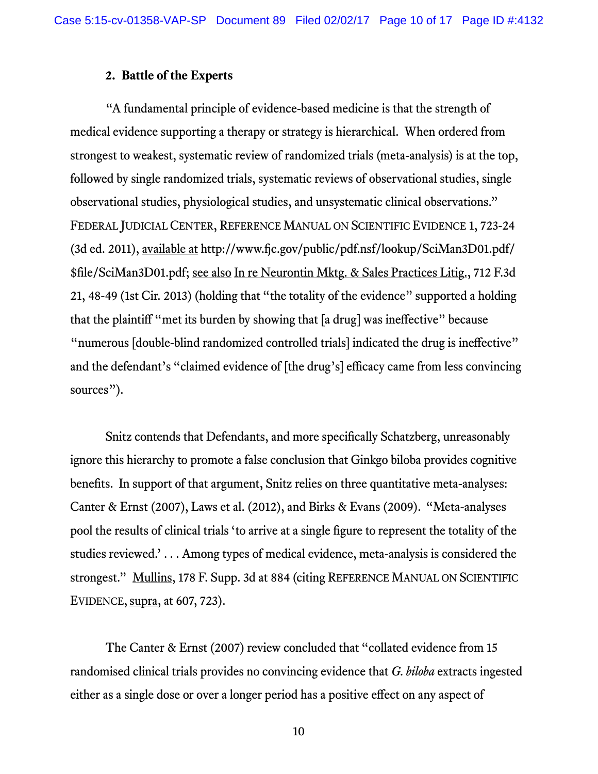#### **2. Battle of the Experts**

"A fundamental principle of evidence-based medicine is that the strength of medical evidence supporting a therapy or strategy is hierarchical. When ordered from strongest to weakest, systematic review of randomized trials (meta-analysis) is at the top, followed by single randomized trials, systematic reviews of observational studies, single observational studies, physiological studies, and unsystematic clinical observations." FEDERAL JUDICIAL CENTER, REFERENCE MANUAL ON SCIENTIFIC EVIDENCE 1, 723-24 (3d ed. 2011), available at http://www.fjc.gov/public/pdf.nsf/lookup/SciMan3D01.pdf/ \$file/SciMan3D01.pdf; see also In re Neurontin Mktg. & Sales Practices Litig., 712 F.3d 21, 48-49 (1st Cir. 2013) (holding that "the totality of the evidence" supported a holding that the plaintiff "met its burden by showing that [a drug] was ineffective" because "numerous [double-blind randomized controlled trials] indicated the drug is ineffective" and the defendant's "claimed evidence of [the drug's] efficacy came from less convincing sources").

Snitz contends that Defendants, and more specifically Schatzberg, unreasonably ignore this hierarchy to promote a false conclusion that Ginkgo biloba provides cognitive benefits. In support of that argument, Snitz relies on three quantitative meta-analyses: Canter & Ernst (2007), Laws et al. (2012), and Birks & Evans (2009). "Meta-analyses pool the results of clinical trials 'to arrive at a single figure to represent the totality of the studies reviewed.' . . . Among types of medical evidence, meta-analysis is considered the strongest." Mullins, 178 F. Supp. 3d at 884 (citing REFERENCE MANUAL ON SCIENTIFIC EVIDENCE,  $\frac{\text{supra}}{\text{arg}}$ , at 607, 723).

The Canter & Ernst (2007) review concluded that "collated evidence from 15 randomised clinical trials provides no convincing evidence that *G. biloba* extracts ingested either as a single dose or over a longer period has a positive effect on any aspect of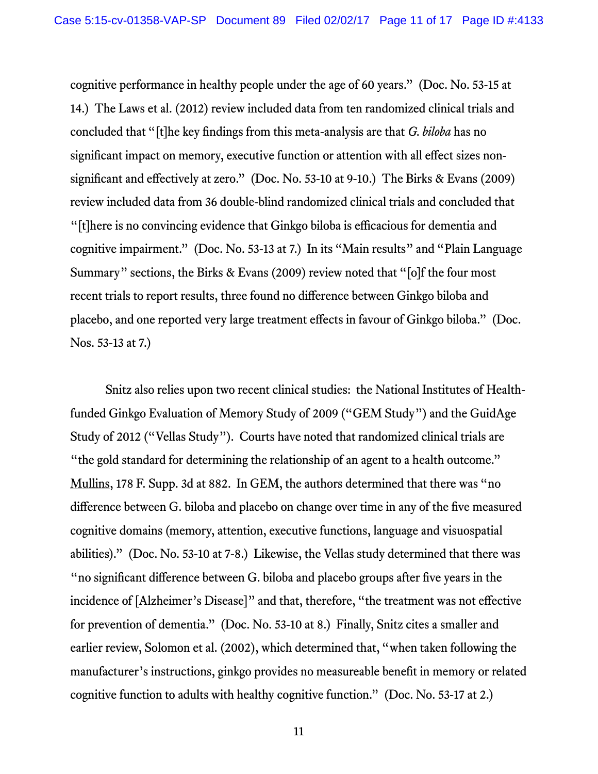cognitive performance in healthy people under the age of 60 years." (Doc. No. 53-15 at 14.) The Laws et al. (2012) review included data from ten randomized clinical trials and concluded that "[t]he key findings from this meta-analysis are that *G. biloba* has no significant impact on memory, executive function or attention with all effect sizes nonsignificant and effectively at zero." (Doc. No. 53-10 at 9-10.) The Birks & Evans (2009) review included data from 36 double-blind randomized clinical trials and concluded that "[t]here is no convincing evidence that Ginkgo biloba is efficacious for dementia and cognitive impairment." (Doc. No. 53-13 at 7.) In its "Main results" and "Plain Language Summary" sections, the Birks & Evans (2009) review noted that "[o]f the four most recent trials to report results, three found no difference between Ginkgo biloba and placebo, and one reported very large treatment effects in favour of Ginkgo biloba." (Doc. Nos. 53-13 at 7.)

Snitz also relies upon two recent clinical studies: the National Institutes of Healthfunded Ginkgo Evaluation of Memory Study of 2009 ("GEM Study") and the GuidAge Study of 2012 ("Vellas Study"). Courts have noted that randomized clinical trials are "the gold standard for determining the relationship of an agent to a health outcome." Mullins, 178 F. Supp. 3d at 882. In GEM, the authors determined that there was "no difference between G. biloba and placebo on change over time in any of the five measured cognitive domains (memory, attention, executive functions, language and visuospatial abilities)." (Doc. No. 53-10 at 7-8.) Likewise, the Vellas study determined that there was "no significant difference between G. biloba and placebo groups after five years in the incidence of [Alzheimer's Disease]" and that, therefore, "the treatment was not effective for prevention of dementia." (Doc. No. 53-10 at 8.) Finally, Snitz cites a smaller and earlier review, Solomon et al. (2002), which determined that, "when taken following the manufacturer's instructions, ginkgo provides no measureable benefit in memory or related cognitive function to adults with healthy cognitive function." (Doc. No. 53-17 at 2.)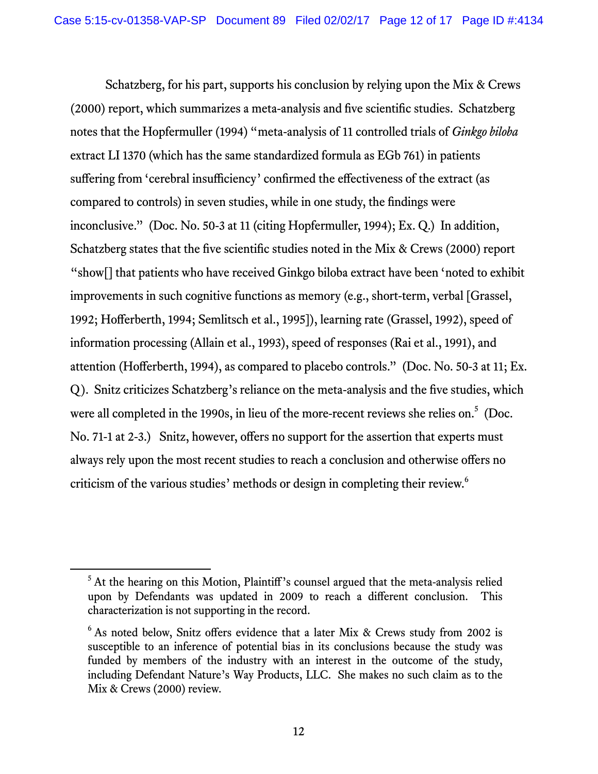Schatzberg, for his part, supports his conclusion by relying upon the Mix & Crews (2000) report, which summarizes a meta-analysis and five scientific studies. Schatzberg notes that the Hopfermuller (1994) "meta-analysis of 11 controlled trials of *Ginkgo biloba* extract LI 1370 (which has the same standardized formula as EGb 761) in patients suffering from 'cerebral insufficiency' confirmed the effectiveness of the extract (as compared to controls) in seven studies, while in one study, the findings were inconclusive." (Doc. No. 50-3 at 11 (citing Hopfermuller, 1994); Ex. Q.) In addition, Schatzberg states that the five scientific studies noted in the Mix & Crews (2000) report "show[] that patients who have received Ginkgo biloba extract have been 'noted to exhibit improvements in such cognitive functions as memory (e.g., short-term, verbal [Grassel, 1992; Hofferberth, 1994; Semlitsch et al., 1995]), learning rate (Grassel, 1992), speed of information processing (Allain et al., 1993), speed of responses (Rai et al., 1991), and attention (Hofferberth, 1994), as compared to placebo controls." (Doc. No. 50-3 at 11; Ex. Q). Snitz criticizes Schatzberg's reliance on the meta-analysis and the five studies, which were all completed in the 1990s, in lieu of the more-recent reviews she relies on.<sup>5</sup> (Doc. No. 71-1 at 2-3.) Snitz, however, offers no support for the assertion that experts must always rely upon the most recent studies to reach a conclusion and otherwise offers no criticism of the various studies' methods or design in completing their review.<sup>6</sup>

<sup>&</sup>lt;sup>5</sup> At the hearing on this Motion, Plaintiff's counsel argued that the meta-analysis relied upon by Defendants was updated in 2009 to reach a different conclusion. This characterization is not supporting in the record.

<sup>&</sup>lt;sup>6</sup> As noted below, Snitz offers evidence that a later Mix & Crews study from 2002 is susceptible to an inference of potential bias in its conclusions because the study was funded by members of the industry with an interest in the outcome of the study, including Defendant Nature's Way Products, LLC. She makes no such claim as to the Mix & Crews (2000) review.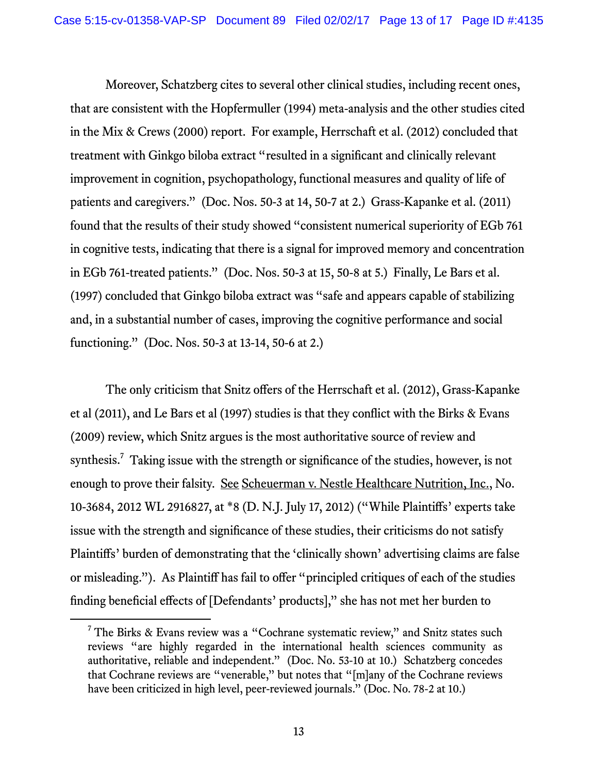Moreover, Schatzberg cites to several other clinical studies, including recent ones, that are consistent with the Hopfermuller (1994) meta-analysis and the other studies cited in the Mix & Crews (2000) report. For example, Herrschaft et al. (2012) concluded that treatment with Ginkgo biloba extract "resulted in a significant and clinically relevant improvement in cognition, psychopathology, functional measures and quality of life of patients and caregivers." (Doc. Nos. 50-3 at 14, 50-7 at 2.) Grass-Kapanke et al. (2011) found that the results of their study showed "consistent numerical superiority of EGb 761 in cognitive tests, indicating that there is a signal for improved memory and concentration in EGb 761-treated patients." (Doc. Nos. 50-3 at 15, 50-8 at 5.) Finally, Le Bars et al. (1997) concluded that Ginkgo biloba extract was "safe and appears capable of stabilizing and, in a substantial number of cases, improving the cognitive performance and social functioning." (Doc. Nos. 50-3 at 13-14, 50-6 at 2.)

The only criticism that Snitz offers of the Herrschaft et al. (2012), Grass-Kapanke et al (2011), and Le Bars et al (1997) studies is that they conflict with the Birks & Evans (2009) review, which Snitz argues is the most authoritative source of review and synthesis.<sup>7</sup> Taking issue with the strength or significance of the studies, however, is not enough to prove their falsity. See Scheuerman v. Nestle Healthcare Nutrition, Inc., No. 10-3684, 2012 WL 2916827, at \*8 (D. N.J. July 17, 2012) ("While Plaintiffs' experts take issue with the strength and significance of these studies, their criticisms do not satisfy Plaintiffs' burden of demonstrating that the 'clinically shown' advertising claims are false or misleading."). As Plaintiff has fail to offer "principled critiques of each of the studies finding beneficial effects of [Defendants' products]," she has not met her burden to

 $\overline{7}$  $7$  The Birks & Evans review was a "Cochrane systematic review," and Snitz states such reviews "are highly regarded in the international health sciences community as authoritative, reliable and independent." (Doc. No. 53-10 at 10.) Schatzberg concedes that Cochrane reviews are "venerable," but notes that "[m]any of the Cochrane reviews have been criticized in high level, peer-reviewed journals." (Doc. No. 78-2 at 10.)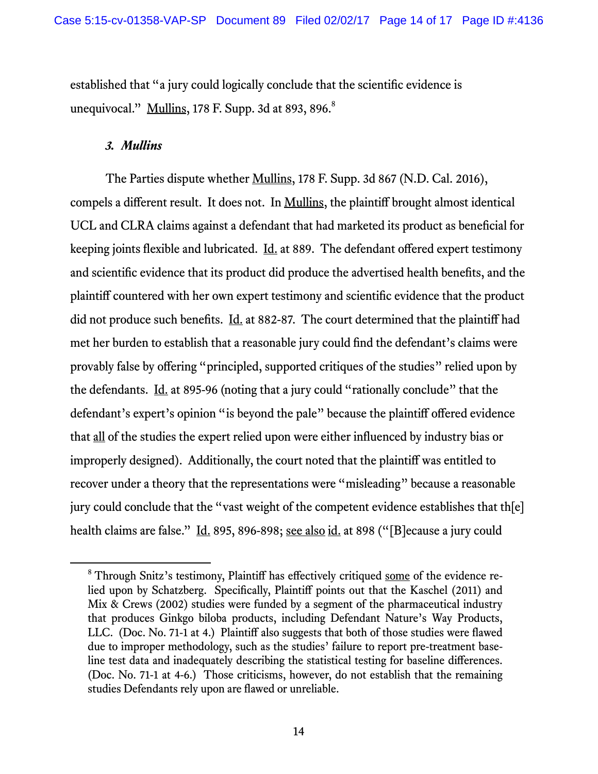established that "a jury could logically conclude that the scientific evidence is unequivocal."  $\frac{Mullins}{178}$  F. Supp. 3d at 893, 896. $^8$ 

### *3. Mullins*

The Parties dispute whether Mullins, 178 F. Supp. 3d 867 (N.D. Cal. 2016), compels a different result. It does not. In Mullins, the plaintiff brought almost identical UCL and CLRA claims against a defendant that had marketed its product as beneficial for keeping joints flexible and lubricated. <u>Id.</u> at 889. The defendant offered expert testimony and scientific evidence that its product did produce the advertised health benefits, and the plaintiff countered with her own expert testimony and scientific evidence that the product did not produce such benefits. Id. at 882-87. The court determined that the plaintiff had met her burden to establish that a reasonable jury could find the defendant's claims were provably false by offering "principled, supported critiques of the studies" relied upon by the defendants. Id. at 895-96 (noting that a jury could "rationally conclude" that the defendant's expert's opinion "is beyond the pale" because the plaintiff offered evidence that all of the studies the expert relied upon were either influenced by industry bias or improperly designed). Additionally, the court noted that the plaintiff was entitled to recover under a theory that the representations were "misleading" because a reasonable jury could conclude that the "vast weight of the competent evidence establishes that th[e] health claims are false." Id. 895, 896-898; see also id. at 898 ("[B] ecause a jury could

 <sup>8</sup> <sup>8</sup> Through Snitz's testimony, Plaintiff has effectively critiqued some of the evidence relied upon by Schatzberg. Specifically, Plaintiff points out that the Kaschel (2011) and Mix & Crews (2002) studies were funded by a segment of the pharmaceutical industry that produces Ginkgo biloba products, including Defendant Nature's Way Products, LLC. (Doc. No. 71-1 at 4.) Plaintiff also suggests that both of those studies were flawed due to improper methodology, such as the studies' failure to report pre-treatment baseline test data and inadequately describing the statistical testing for baseline differences. (Doc. No. 71-1 at 4-6.) Those criticisms, however, do not establish that the remaining studies Defendants rely upon are flawed or unreliable.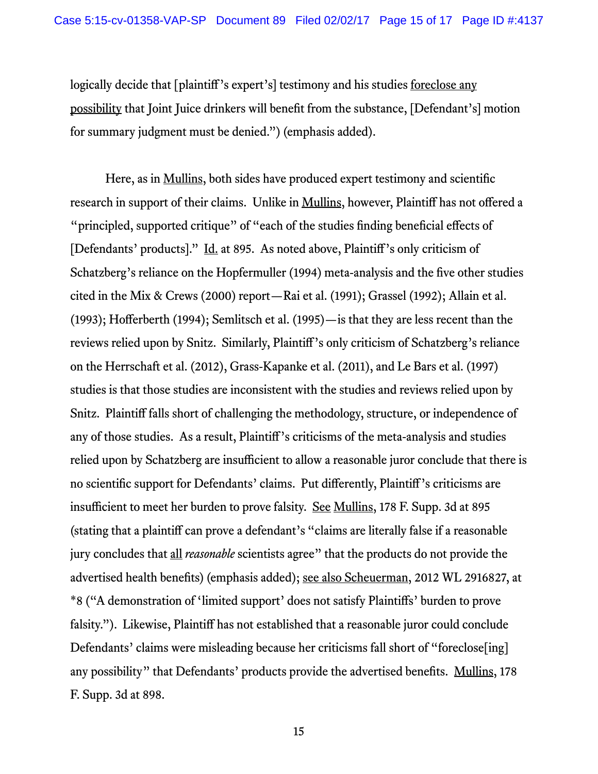logically decide that [plaintiff's expert's] testimony and his studies <u>foreclose any</u> possibility that Joint Juice drinkers will benefit from the substance, [Defendant's] motion for summary judgment must be denied.") (emphasis added).

Here, as in <u>Mullins</u>, both sides have produced expert testimony and scientific research in support of their claims. Unlike in Mullins, however, Plaintiff has not offered a "principled, supported critique" of "each of the studies finding beneficial effects of [Defendants' products]." Id. at 895. As noted above, Plaintiff's only criticism of Schatzberg's reliance on the Hopfermuller (1994) meta-analysis and the five other studies cited in the Mix & Crews (2000) report—Rai et al. (1991); Grassel (1992); Allain et al. (1993); Hofferberth (1994); Semlitsch et al. (1995)—is that they are less recent than the reviews relied upon by Snitz. Similarly, Plaintiff's only criticism of Schatzberg's reliance on the Herrschaft et al. (2012), Grass-Kapanke et al. (2011), and Le Bars et al. (1997) studies is that those studies are inconsistent with the studies and reviews relied upon by Snitz. Plaintiff falls short of challenging the methodology, structure, or independence of any of those studies. As a result, Plaintiff's criticisms of the meta-analysis and studies relied upon by Schatzberg are insufficient to allow a reasonable juror conclude that there is no scientific support for Defendants' claims. Put differently, Plaintiff's criticisms are insufficient to meet her burden to prove falsity. See Mullins, 178 F. Supp. 3d at 895 (stating that a plaintiff can prove a defendant's "claims are literally false if a reasonable jury concludes that all *reasonable* scientists agree" that the products do not provide the advertised health benefits) (emphasis added); see also Scheuerman, 2012 WL 2916827, at \*8 ("A demonstration of 'limited support' does not satisfy Plaintiffs' burden to prove falsity."). Likewise, Plaintiff has not established that a reasonable juror could conclude Defendants' claims were misleading because her criticisms fall short of "foreclose [ing] any possibility" that Defendants' products provide the advertised benefits. Mullins, 178 F. Supp. 3d at 898.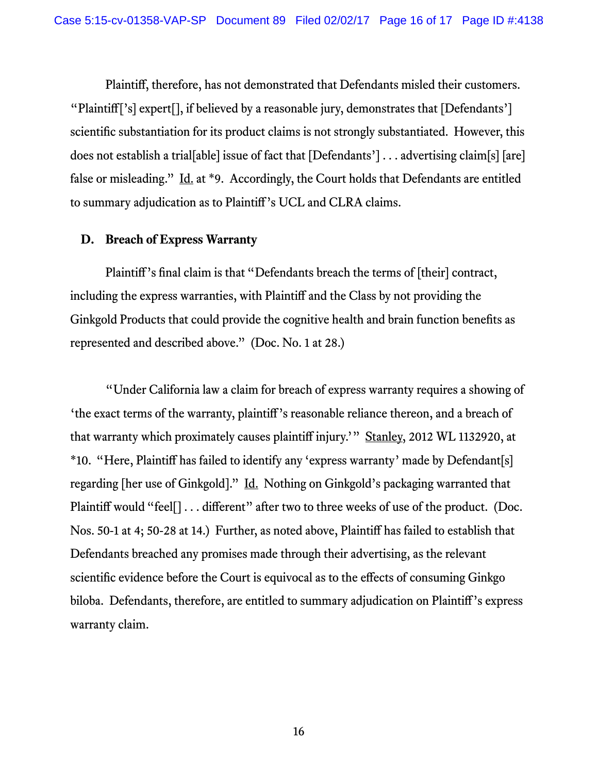Plaintiff, therefore, has not demonstrated that Defendants misled their customers. "Plaintiff['s] expert[], if believed by a reasonable jury, demonstrates that [Defendants'] scientific substantiation for its product claims is not strongly substantiated. However, this does not establish a trial[able] issue of fact that [Defendants'] . . . advertising claim[s] [are] false or misleading." Id. at \*9. Accordingly, the Court holds that Defendants are entitled to summary adjudication as to Plaintiff's UCL and CLRA claims.

## **D. Breach of Express Warranty**

Plaintiff's final claim is that "Defendants breach the terms of [their] contract, including the express warranties, with Plaintiff and the Class by not providing the Ginkgold Products that could provide the cognitive health and brain function benefits as represented and described above." (Doc. No. 1 at 28.)

"Under California law a claim for breach of express warranty requires a showing of 'the exact terms of the warranty, plaintiff's reasonable reliance thereon, and a breach of that warranty which proximately causes plaintiff injury.'" Stanley, 2012 WL 1132920, at \*10. "Here, Plaintiff has failed to identify any 'express warranty' made by Defendant[s] regarding [her use of Ginkgold]." Id. Nothing on Ginkgold's packaging warranted that Plaintiff would "feel[] . . . different" after two to three weeks of use of the product. (Doc. Nos. 50-1 at 4; 50-28 at 14.) Further, as noted above, Plaintiff has failed to establish that Defendants breached any promises made through their advertising, as the relevant scientific evidence before the Court is equivocal as to the effects of consuming Ginkgo biloba. Defendants, therefore, are entitled to summary adjudication on Plaintiff's express warranty claim.